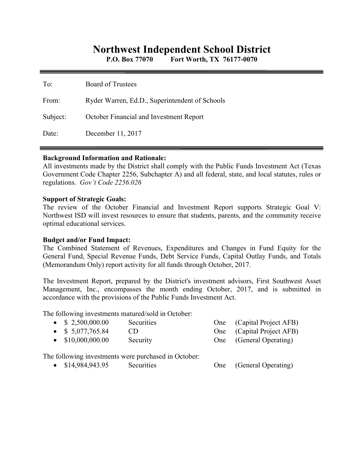# **Northwest Independent School District**

**P.O. Box 77070 Fort Worth, TX 76177-0070** 

| To:      | <b>Board of Trustees</b>                       |
|----------|------------------------------------------------|
| From:    | Ryder Warren, Ed.D., Superintendent of Schools |
| Subject: | October Financial and Investment Report        |
| Date:    | December 11, 2017                              |

### **Background Information and Rationale:**

All investments made by the District shall comply with the Public Funds Investment Act (Texas Government Code Chapter 2256, Subchapter A) and all federal, state, and local statutes, rules or regulations. *Gov't Code 2256.026* 

### **Support of Strategic Goals:**

The review of the October Financial and Investment Report supports Strategic Goal V: Northwest ISD will invest resources to ensure that students, parents, and the community receive optimal educational services.

## **Budget and/or Fund Impact:**

The Combined Statement of Revenues, Expenditures and Changes in Fund Equity for the General Fund, Special Revenue Funds, Debt Service Funds, Capital Outlay Funds, and Totals (Memorandum Only) report activity for all funds through October, 2017.

The Investment Report, prepared by the District's investment advisors, First Southwest Asset Management, Inc., encompasses the month ending October, 2017, and is submitted in accordance with the provisions of the Public Funds Investment Act.

The following investments matured/sold in October:

| $\bullet$ \$ 2,500,000.00 | Securities                                           | One (Capital Project AFB) |
|---------------------------|------------------------------------------------------|---------------------------|
| $\bullet$ \$ 5,077,765.84 | CD.                                                  | One (Capital Project AFB) |
| $\bullet$ \$10,000,000.00 | Security                                             | One (General Operating)   |
|                           | The following investments were purchased in October: |                           |

\$14,984,943.95 Securities One (General Operating)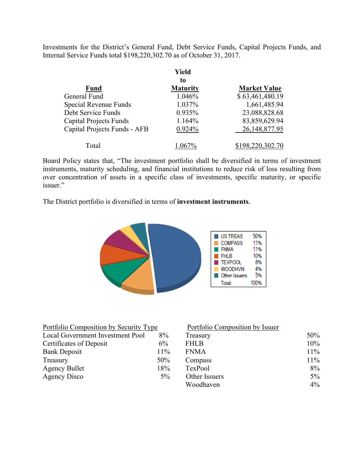Investments for the District's General Fund, Debt Service Funds, Capital Projects Funds, and Internal Service Funds total \$198,220,302.70 as of October 31, 2017.

|                               | Yield<br>to     |                     |
|-------------------------------|-----------------|---------------------|
| <b>Fund</b>                   | <b>Maturity</b> | <b>Market Value</b> |
| General Fund                  | 1.046%          | \$63,461,480.19     |
| Special Revenue Funds         | 1.037%          | 1,661,485.94        |
| Debt Service Funds            | 0.935%          | 23,088,828.68       |
| <b>Capital Projects Funds</b> | 1.164%          | 83,859,629.94       |
| Capital Projects Funds - AFB  | 0.924%          | 26, 148, 877. 95    |
| Total                         |                 | \$198,220,302.70    |

Board Policy states that, "The investment portfolio shall be diversified in terms of investment instruments, maturity scheduling, and financial institutions to reduce risk of loss resulting from over concentration of assets in a specific class of investments, specific maturity, or specific issuer."

The District portfolio is diversified in terms of **investment instruments**.



| Portfolio Composition by Security Type |       | Portfolio Composition by Issuer |        |
|----------------------------------------|-------|---------------------------------|--------|
| Local Government Investment Pool       | 8%    | Treasury                        | 50%    |
| Certificates of Deposit                | 6%    | <b>FHLB</b>                     | $10\%$ |
| <b>Bank Deposit</b>                    | 11%   | <b>FNMA</b>                     | $11\%$ |
| Treasury                               | 50%   | Compass                         | $11\%$ |
| <b>Agency Bullet</b>                   | 18%   | TexPool                         | $8\%$  |
| Agency Disco                           | $5\%$ | Other Issuers                   | $5\%$  |
|                                        |       | Woodhaven                       | $4\%$  |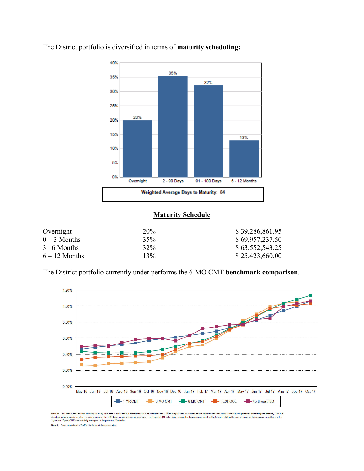

The District portfolio is diversified in terms of **maturity scheduling:** 

# **Maturity Schedule**

| Overnight       | 20% | \$39,286,861.95 |
|-----------------|-----|-----------------|
| $0-3$ Months    | 35% | \$69,957,237.50 |
| $3 - 6$ Months  | 32% | \$63,552,543.25 |
| $6 - 12$ Months | 13% | \$25,423,660.00 |

The District portfolio currently under performs the 6-MO CMT **benchmark comparison**.



Note 1: CMT stands for Constant Maturity Treasury. This data is published in Federal Reese Statistical Release H.15 and represents an average of all actively traded Treasury securities having that time remaining until matu

Note 2: Benchmark data for TexPool is the monthly average yield.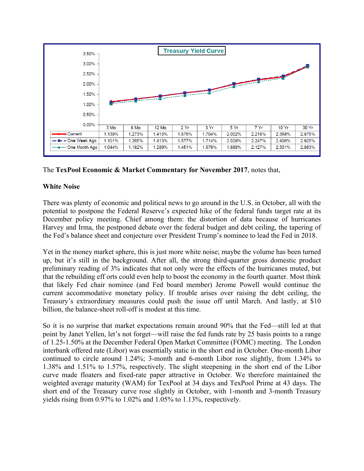

The **TexPool Economic & Market Commentary for November 2017**, notes that,

# **White Noise**

There was plenty of economic and political news to go around in the U.S. in October, all with the potential to postpone the Federal Reserve's expected hike of the federal funds target rate at its December policy meeting. Chief among them: the distortion of data because of hurricanes Harvey and Irma, the postponed debate over the federal budget and debt ceiling, the tapering of the Fed's balance sheet and conjecture over President Trump's nominee to lead the Fed in 2018.

Yet in the money market sphere, this is just more white noise; maybe the volume has been turned up, but it's still in the background. After all, the strong third-quarter gross domestic product preliminary reading of 3% indicates that not only were the effects of the hurricanes muted, but that the rebuilding eff orts could even help to boost the economy in the fourth quarter. Most think that likely Fed chair nominee (and Fed board member) Jerome Powell would continue the current accommodative monetary policy. If trouble arises over raising the debt ceiling, the Treasury's extraordinary measures could push the issue off until March. And lastly, at \$10 billion, the balance-sheet roll-off is modest at this time.

So it is no surprise that market expectations remain around 90% that the Fed—still led at that point by Janet Yellen, let's not forget—will raise the fed funds rate by 25 basis points to a range of 1.25-1.50% at the December Federal Open Market Committee (FOMC) meeting. The London interbank offered rate (Libor) was essentially static in the short end in October. One-month Libor continued to circle around 1.24%; 3-month and 6-month Libor rose slightly, from 1.34% to 1.38% and 1.51% to 1.57%, respectively. The slight steepening in the short end of the Libor curve made floaters and fixed-rate paper attractive in October. We therefore maintained the weighted average maturity (WAM) for TexPool at 34 days and TexPool Prime at 43 days. The short end of the Treasury curve rose slightly in October, with 1-month and 3-month Treasury yields rising from 0.97% to 1.02% and 1.05% to 1.13%, respectively.